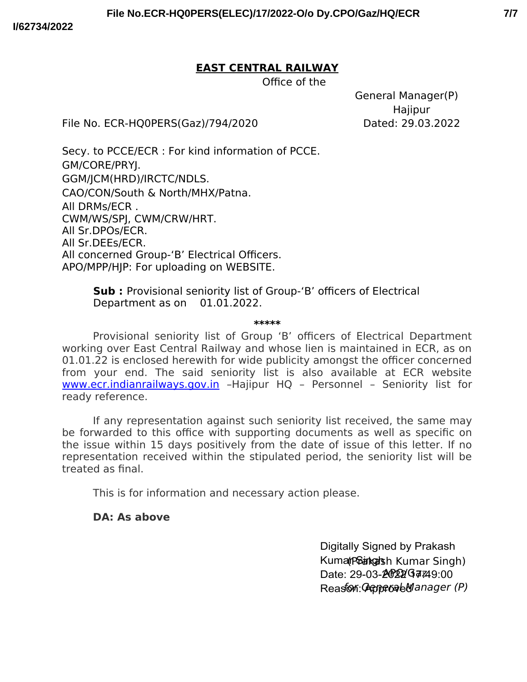## **EAST CENTRAL RAILWAY**

Office of the

General Manager(P) Hajipur

File No. ECR-HQ0PERS(Gaz)/794/2020 Dated: 29.03.2022

Secy. to PCCE/ECR : For kind information of PCCE. GM/CORE/PRYJ. GGM/JCM(HRD)/IRCTC/NDLS. CAO/CON/South & North/MHX/Patna. All DRMs/ECR . CWM/WS/SPJ, CWM/CRW/HRT. All Sr.DPOs/ECR. All Sr.DEEs/ECR. All concerned Group-'B' Electrical Officers. APO/MPP/HJP: For uploading on WEBSITE.

> **Sub :** Provisional seniority list of Group-'B' officers of Electrical Department as on  $01.01.2022$ .

> > **\*\*\*\*\***

Provisional seniority list of Group 'B' officers of Electrical Department working over East Central Railway and whose lien is maintained in ECR, as on 01.01.22 is enclosed herewith for wide publicity amongst the officer concerned from your end. The said seniority list is also available at ECR website www.ecr.indianrailways.gov.in -Hajipur HQ - Personnel - Seniority list for ready reference.

If any representation against such seniority list received, the same may be forwarded to this office with supporting documents as well as specific on the issue within 15 days positively from the date of issue of this letter. If no representation received within the stipulated period, the seniority list will be treated as fnal.

This is for information and necessary action please.

# **DA: As above**

Digitally Signed by Prakash Kuma (Phakad sh Kumar Singh) Date: 29-03-2022/Gaz49:00 Reasfon: General Manager (P)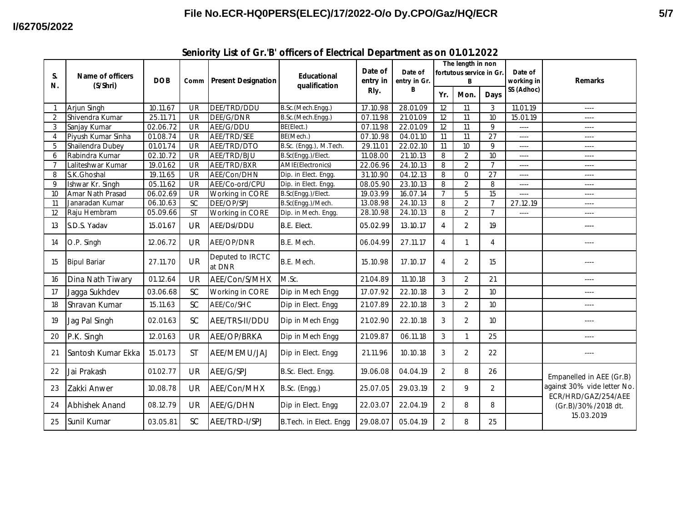| S.             | <b>Name of officers</b><br>(S/Shri) | <b>DOB</b> | Comm                     | <b>Present Designation</b> | <b>Educational</b><br>qualification | Date of<br>entry in<br>Rly. | Date of<br>entry in Gr.<br>B | The length in non<br>fortutous service in Gr. |                |                | Date of<br>working in | <b>Remarks</b>                                                                          |
|----------------|-------------------------------------|------------|--------------------------|----------------------------|-------------------------------------|-----------------------------|------------------------------|-----------------------------------------------|----------------|----------------|-----------------------|-----------------------------------------------------------------------------------------|
| N.             |                                     |            |                          |                            |                                     |                             |                              | Yr.                                           | Mon.           | Days           | SS (Adhoc)            |                                                                                         |
|                | Arjun Singh                         | 10.11.67   | <b>UR</b>                | DEE/TRD/DDU                | B.Sc.(Mech.Engg.)                   | 17.10.98                    | 28.01.09                     | 12                                            | 11             | 3              | 11.01.19              | $---$                                                                                   |
| $\overline{2}$ | Shivendra Kumar                     | 25.11.71   | UR                       | DEE/G/DNR                  | B.Sc.(Mech.Engg.)                   | 07.11.98                    | 21.01.09                     | 12                                            | 11             | 10             | 15.01.19              |                                                                                         |
| 3              | Sanjay Kumar                        | 02.06.72   | <b>UR</b>                | AEE/G/DDU                  | BE(Elect.)                          | 07.11.98                    | 22.01.09                     | 12                                            | 11             | 9              | $---$                 | $- - - -$                                                                               |
| 4              | Piyush Kumar Sinha                  | 01.08.74   | <b>UR</b>                | AEE/TRD/SEE                | BE(Mech.)                           | 07.10.98                    | 04.01.10                     | 11                                            | 11             | 27             | $---$                 | $---$                                                                                   |
| 5              | Shailendra Dubey                    | 01.01.74   | UR                       | AEE/TRD/DTO                | B.Sc. (Engg.), M.Tech.              | 29.11.01                    | 22.02.10                     | 11                                            | 10             | 9              | ----                  | $---$                                                                                   |
| 6              | Rabindra Kumar                      | 02.10.72   | $\overline{\mathsf{UR}}$ | AEE/TRD/BJU                | B.Sc(Engg.)/Elect.                  | 11.08.00                    | 21.10.13                     | 8                                             | $\overline{2}$ | 10             | $---$                 | $- - - -$                                                                               |
| $\overline{7}$ | Laliteshwar Kumar                   | 19.01.62   | UR                       | AEE/TRD/BXR                | <b>AMIE</b> (Electronics)           | 22.06.96                    | 24.10.13                     | 8                                             | $\overline{2}$ | $\overline{7}$ | ----                  |                                                                                         |
| 8              | S.K.Ghoshal                         | 19.11.65   | UR                       | AEE/Con/DHN                | Dip. in Elect. Engg.                | 31.10.90                    | 04.12.13                     | 8                                             | $\Omega$       | 27             | $---$                 | $---$                                                                                   |
| 9              | Ishwar Kr. Singh                    | 05.11.62   | <b>UR</b>                | AEE/Co-ord/CPU             | Dip. in Elect. Engg.                | 08.05.90                    | 23.10.13                     | 8                                             | $\overline{2}$ | 8              | $---$                 | $---$                                                                                   |
| 10             | Amar Nath Prasad                    | 06.02.69   | UR                       | Working in CORE            | B.Sc(Engg.)/Elect.                  | 19.03.99                    | 16.07.14                     | $\overline{7}$                                | 5              | 15             | ----                  | $---$                                                                                   |
| 11             | Janaradan Kumar                     | 06.10.63   | $\overline{SC}$          | DEE/OP/SPJ                 | B.Sc(Engg.)/Mech.                   | 13.08.98                    | 24.10.13                     | 8                                             | $\overline{2}$ | $\overline{7}$ | 27.12.19              | $---$                                                                                   |
| 12             | Raju Hembram                        | 05.09.66   | $\overline{\mathsf{ST}}$ | Working in CORE            | Dip. in Mech. Engg.                 | 28.10.98                    | 24.10.13                     | 8                                             | $\overline{2}$ | $\overline{7}$ | $---$                 | $---$                                                                                   |
| 13             | S.D.S. Yadav                        | 15.01.67   | <b>UR</b>                | AEE/Dsl/DDU                | B.E. Elect.                         | 05.02.99                    | 13.10.17                     | $\overline{4}$                                | $\overline{2}$ | 19             |                       | ----                                                                                    |
| 14             | O.P. Singh                          | 12.06.72   | UR                       | AEE/OP/DNR                 | B.E. Mech.                          | 06.04.99                    | 27.11.17                     | 4                                             | 1              | $\overline{4}$ |                       | ----                                                                                    |
| 15             | <b>Bipul Bariar</b>                 | 27.11.70   | <b>UR</b>                | Deputed to IRCTC<br>at DNR | B.E. Mech.                          | 15.10.98                    | 17.10.17                     | $\overline{4}$                                | $\overline{2}$ | 15             |                       |                                                                                         |
| 16             | Dina Nath Tiwary                    | 01.12.64   | UR                       | AEE/Con/S/MHX              | M.Sc.                               | 21.04.89                    | 11.10.18                     | 3                                             | $\overline{2}$ | 21             |                       | $---$                                                                                   |
| 17             | Jagga Sukhdev                       | 03.06.68   | <b>SC</b>                | Working in CORE            | Dip in Mech Engg                    | 17.07.92                    | 22.10.18                     | 3                                             | $\overline{2}$ | 10             |                       | ----                                                                                    |
| 18             | Shravan Kumar                       | 15.11.63   | SC                       | AEE/Co/SHC                 | Dip in Elect. Engg                  | 21.07.89                    | 22.10.18                     | 3                                             | $\overline{2}$ | 10             |                       |                                                                                         |
| 19             | Jag Pal Singh                       | 02.01.63   | SC                       | AEE/TRS-II/DDU             | Dip in Mech Engg                    | 21.02.90                    | 22.10.18                     | 3                                             | $\overline{2}$ | 10             |                       |                                                                                         |
| 20             | P.K. Singh                          | 12.01.63   | <b>UR</b>                | AEE/OP/BRKA                | Dip in Mech Engg                    | 21.09.87                    | 06.11.18                     | $\mathbf{3}$                                  | $\mathbf{1}$   | 25             |                       | $- - - -$                                                                               |
| 21             | Santosh Kumar Ekka                  | 15.01.73   | <b>ST</b>                | AEE/MEMU/JAJ               | Dip in Elect. Engg                  | 21.11.96                    | 10.10.18                     | 3                                             | $\overline{2}$ | 22             |                       |                                                                                         |
| 22             | Jai Prakash                         | 01.02.77   | <b>UR</b>                | AEE/G/SPJ                  | B.Sc. Elect. Engg.                  | 19.06.08                    | 04.04.19                     | $\overline{2}$                                | 8              | 26             |                       | Empanelled in AEE (Gr.B)                                                                |
| 23             | Zakki Anwer                         | 10.08.78   | <b>UR</b>                | AEE/Con/MHX                | B.Sc. (Engg.)                       | 25.07.05                    | 29.03.19                     | $\overline{2}$                                | 9              | 2              |                       | against 30% vide letter No.<br>ECR/HRD/GAZ/254/AEE<br>(Gr.B)/30%/2018 dt.<br>15.03.2019 |
| 24             | Abhishek Anand                      | 08.12.79   | UR                       | AEE/G/DHN                  | Dip in Elect. Engg                  | 22.03.07                    | 22.04.19                     | 2                                             | 8              | 8              |                       |                                                                                         |
| 25             | Sunil Kumar                         | 03.05.81   | <b>SC</b>                | AEE/TRD-I/SPJ              | B. Tech. in Elect. Engg             | 29.08.07                    | 05.04.19                     | 2                                             | 8              | 25             |                       |                                                                                         |